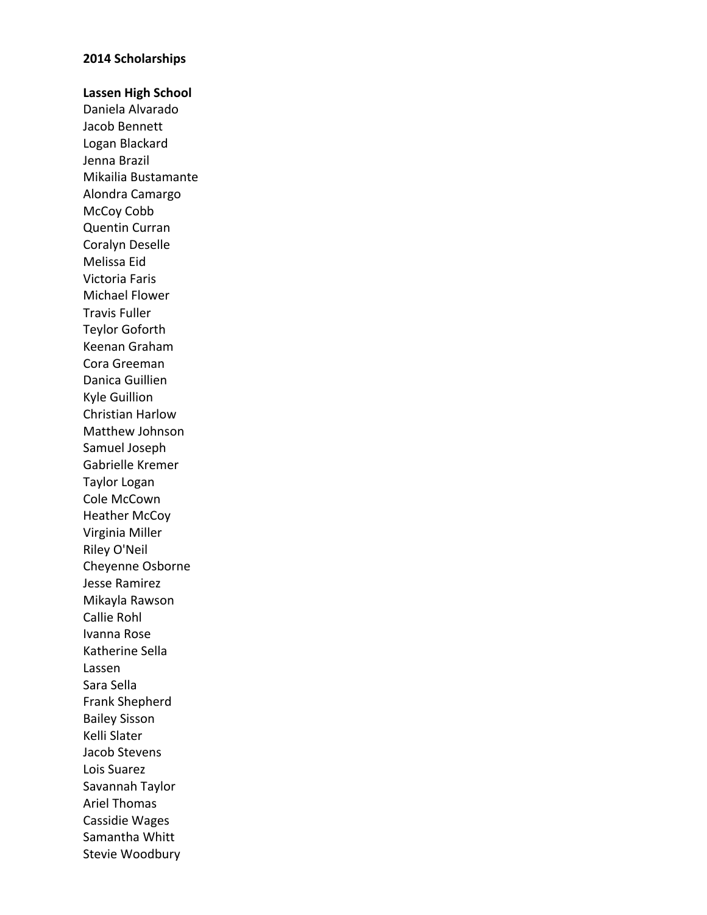#### **2014 Scholarships**

**Lassen High School** Daniela Alvarado Jacob Bennett Logan Blackard Jenna Brazil Mikailia Bustamante Alondra Camargo McCoy Cobb Quentin Curran Coralyn Deselle Melissa Eid Victoria Faris Michael Flower **Travis Fuller** Teylor Goforth Keenan Graham Cora Greeman Danica Guillien Kyle Guillion Christian Harlow Matthew Johnson Samuel Joseph Gabrielle Kremer Taylor Logan Cole McCown Heather McCoy Virginia Miller Riley O'Neil Cheyenne Osborne Jesse Ramirez Mikayla Rawson Callie Rohl Ivanna Rose Katherine Sella Lassen Sara Sella Frank Shepherd Bailey Sisson Kelli Slater Jacob Stevens Lois Suarez Savannah Taylor Ariel Thomas Cassidie Wages Samantha Whitt Stevie Woodbury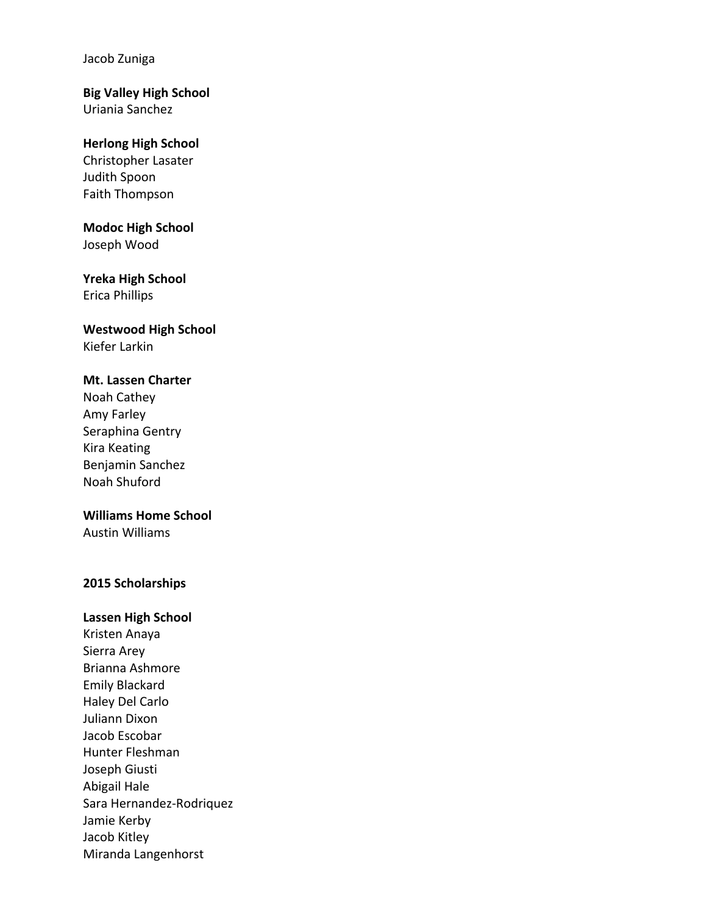Jacob Zuniga

## **Big Valley High School** Uriania Sanchez

## **Herlong High School**

Christopher Lasater Judith Spoon Faith Thompson

# **Modoc High School**

Joseph Wood

# **Yreka High School**

Erica Phillips

## **Westwood High School** Kiefer Larkin

# **Mt. Lassen Charter**

Noah Cathey Amy Farley Seraphina Gentry Kira Keating Benjamin Sanchez Noah Shuford

# **Williams Home School**

Austin Williams

# **2015 Scholarships**

# **Lassen High School**

Kristen Anaya Sierra Arey Brianna Ashmore Emily Blackard Haley Del Carlo Juliann Dixon Jacob Escobar Hunter Fleshman Joseph Giusti Abigail Hale Sara Hernandez-Rodriquez Jamie Kerby Jacob Kitley Miranda Langenhorst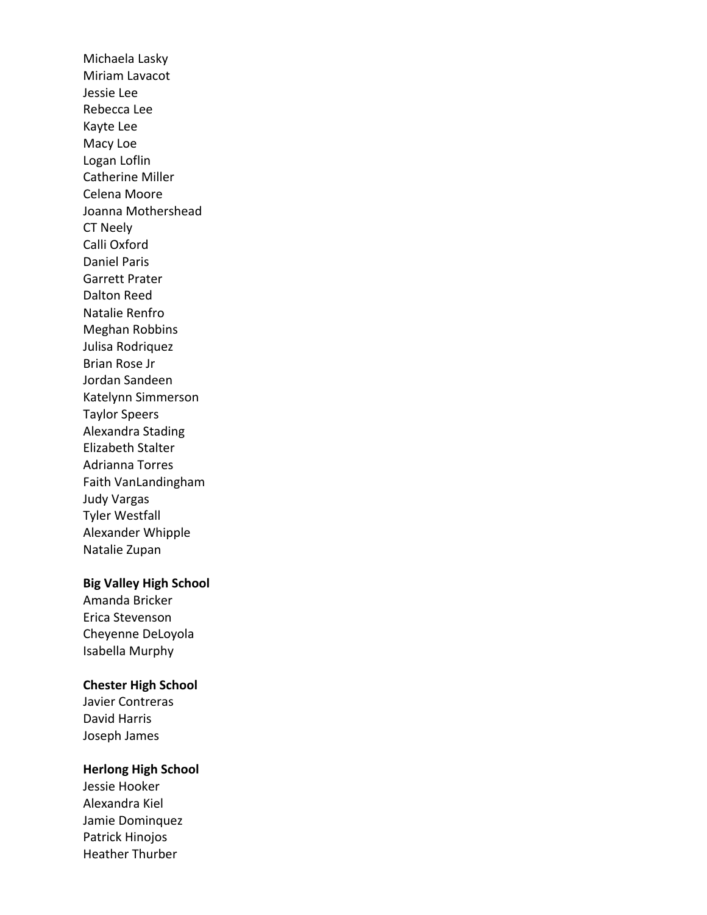Michaela Lasky Miriam Lavacot Jessie Lee Rebecca Lee Kayte Lee Macy Loe Logan Loflin Catherine Miller Celena Moore Joanna Mothershead CT Neely Calli Oxford Daniel Paris Garrett Prater Dalton Reed Natalie Renfro Meghan Robbins Julisa Rodriquez Brian Rose Jr Jordan Sandeen Katelynn Simmerson Taylor Speers Alexandra Stading Elizabeth Stalter Adrianna Torres Faith VanLandingham Judy Vargas **Tyler Westfall** Alexander Whipple Natalie Zupan

## **Big Valley High School**

Amanda Bricker Erica Stevenson Cheyenne DeLoyola Isabella Murphy

## **Chester High School**

Javier Contreras David Harris Joseph James

# **Herlong High School**

Jessie Hooker Alexandra Kiel Jamie Dominquez Patrick Hinojos Heather Thurber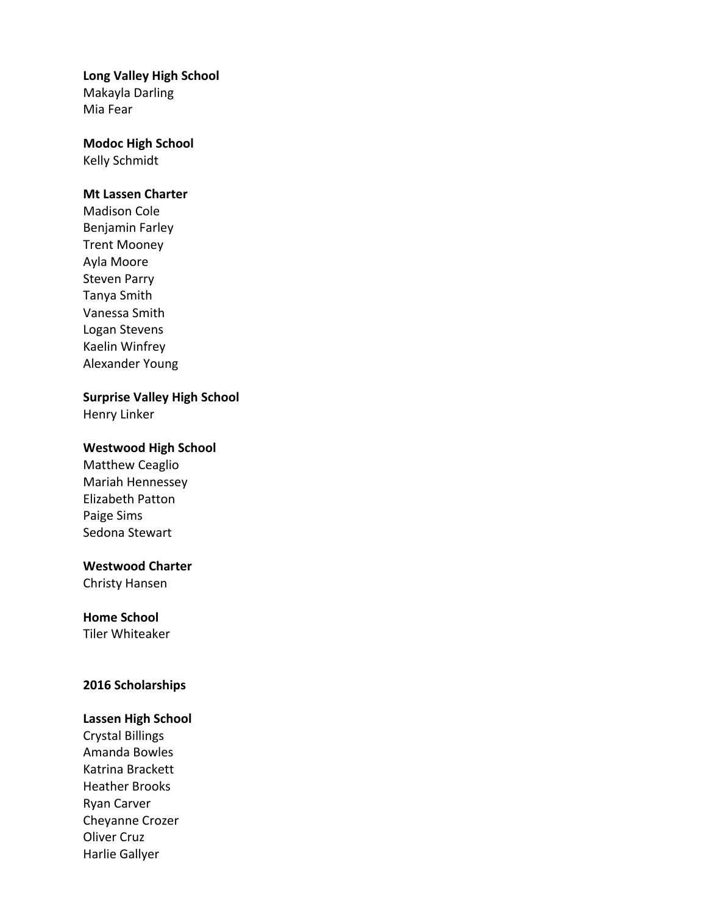# **Long Valley High School**

Makayla Darling Mia Fear

# **Modoc High School**

Kelly Schmidt

## **Mt Lassen Charter**

Madison Cole Benjamin Farley **Trent Mooney** Ayla Moore Steven Parry Tanya Smith Vanessa Smith Logan Stevens Kaelin Winfrey Alexander Young

# **Surprise Valley High School**

Henry Linker

## **Westwood High School**

Matthew Ceaglio Mariah Hennessey Elizabeth Patton Paige Sims Sedona Stewart

# **Westwood Charter**

Christy Hansen

# **Home School**

**Tiler Whiteaker** 

# **2016 Scholarships**

## **Lassen High School**

Crystal Billings Amanda Bowles Katrina Brackett Heather Brooks Ryan Carver Cheyanne Crozer **Oliver Cruz** Harlie Gallyer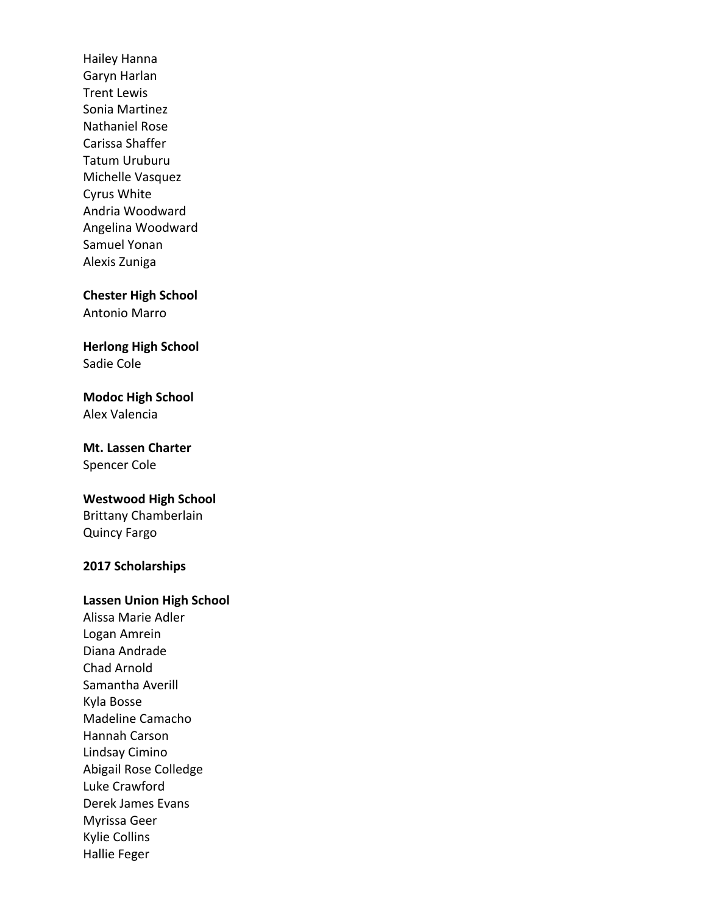Hailey Hanna Garyn Harlan **Trent Lewis** Sonia Martinez Nathaniel Rose Carissa Shaffer Tatum Uruburu Michelle Vasquez Cyrus White Andria Woodward Angelina Woodward Samuel Yonan Alexis Zuniga

**Chester High School** 

Antonio Marro

**Herlong High School** Sadie Cole

**Modoc High School** Alex Valencia

**Mt. Lassen Charter** Spencer Cole

# **Westwood High School** Brittany Chamberlain

Quincy Fargo

# **2017 Scholarships**

## **Lassen Union High School**

Alissa Marie Adler Logan Amrein Diana Andrade Chad Arnold Samantha Averill Kyla Bosse Madeline Camacho Hannah Carson Lindsay Cimino Abigail Rose Colledge Luke Crawford Derek James Evans Myrissa Geer Kylie Collins Hallie Feger